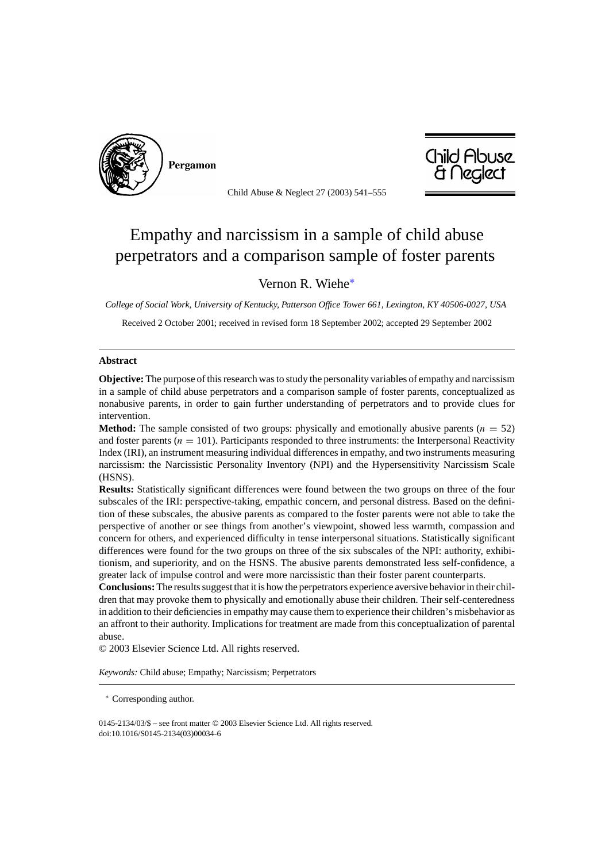

Pergamon



Child Abuse & Neglect 27 (2003) 541–555

# Empathy and narcissism in a sample of child abuse perpetrators and a comparison sample of foster parents

## Vernon R. Wiehe∗

*College of Social Work, University of Kentucky, Patterson Office Tower 661, Lexington, KY 40506-0027, USA*

Received 2 October 2001; received in revised form 18 September 2002; accepted 29 September 2002

### **Abstract**

**Objective:** The purpose of this research was to study the personality variables of empathy and narcissism in a sample of child abuse perpetrators and a comparison sample of foster parents, conceptualized as nonabusive parents, in order to gain further understanding of perpetrators and to provide clues for intervention.

**Method:** The sample consisted of two groups: physically and emotionally abusive parents  $(n = 52)$ and foster parents ( $n = 101$ ). Participants responded to three instruments: the Interpersonal Reactivity Index (IRI), an instrument measuring individual differences in empathy, and two instruments measuring narcissism: the Narcissistic Personality Inventory (NPI) and the Hypersensitivity Narcissism Scale (HSNS).

**Results:** Statistically significant differences were found between the two groups on three of the four subscales of the IRI: perspective-taking, empathic concern, and personal distress. Based on the definition of these subscales, the abusive parents as compared to the foster parents were not able to take the perspective of another or see things from another's viewpoint, showed less warmth, compassion and concern for others, and experienced difficulty in tense interpersonal situations. Statistically significant differences were found for the two groups on three of the six subscales of the NPI: authority, exhibitionism, and superiority, and on the HSNS. The abusive parents demonstrated less self-confidence, a greater lack of impulse control and were more narcissistic than their foster parent counterparts.

**Conclusions:**The results suggest that it is how the perpetrators experience aversive behavior in their children that may provoke them to physically and emotionally abuse their children. Their self-centeredness in addition to their deficiencies in empathy may cause them to experience their children's misbehavior as an affront to their authority. Implications for treatment are made from this conceptualization of parental abuse.

© 2003 Elsevier Science Ltd. All rights reserved.

*Keywords:* Child abuse; Empathy; Narcissism; Perpetrators

0145-2134/03/\$ – see front matter © 2003 Elsevier Science Ltd. All rights reserved. doi:10.1016/S0145-2134(03)00034-6

<sup>∗</sup> Corresponding author.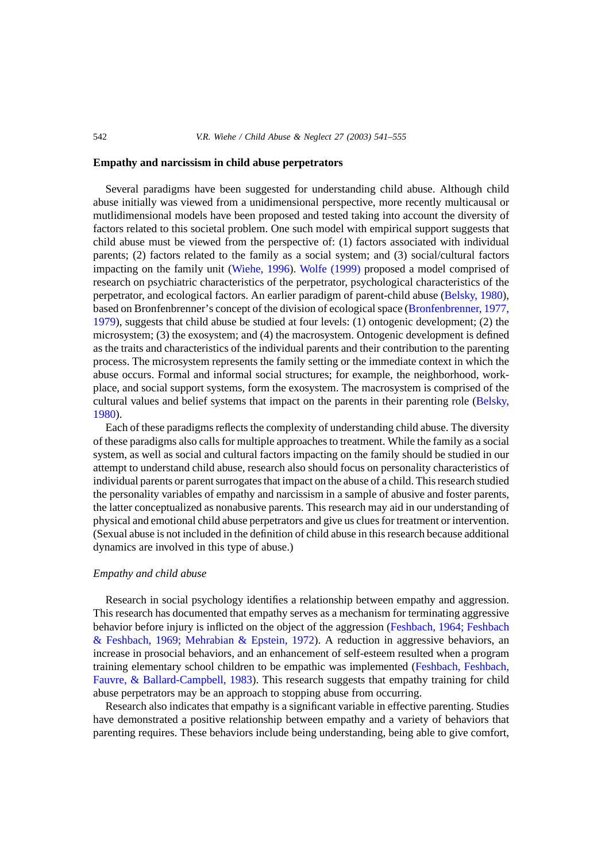#### **Empathy and narcissism in child abuse perpetrators**

Several paradigms have been suggested for understanding child abuse. Although child abuse initially was viewed from a unidimensional perspective, more recently multicausal or mutlidimensional models have been proposed and tested taking into account the diversity of factors related to this societal problem. One such model with empirical support suggests that child abuse must be viewed from the perspective of: (1) factors associated with individual parents; (2) factors related to the family as a social system; and (3) social/cultural factors impacting on the family unit ([Wiehe, 1996\).](#page--1-0) [Wolfe \(1999\)](#page--1-0) proposed a model comprised of research on psychiatric characteristics of the perpetrator, psychological characteristics of the perpetrator, and ecological factors. An earlier paradigm of parent-child abuse [\(Belsky, 1980\),](#page--1-0) based on Bronfenbrenner's concept of the division of ecological space [\(Bronfenbrenner, 1977,](#page--1-0) [1979\),](#page--1-0) suggests that child abuse be studied at four levels: (1) ontogenic development; (2) the microsystem; (3) the exosystem; and (4) the macrosystem. Ontogenic development is defined as the traits and characteristics of the individual parents and their contribution to the parenting process. The microsystem represents the family setting or the immediate context in which the abuse occurs. Formal and informal social structures; for example, the neighborhood, workplace, and social support systems, form the exosystem. The macrosystem is comprised of the cultural values and belief systems that impact on the parents in their parenting role [\(Belsky,](#page--1-0) [1980\).](#page--1-0)

Each of these paradigms reflects the complexity of understanding child abuse. The diversity of these paradigms also calls for multiple approaches to treatment. While the family as a social system, as well as social and cultural factors impacting on the family should be studied in our attempt to understand child abuse, research also should focus on personality characteristics of individual parents or parent surrogates that impact on the abuse of a child. This research studied the personality variables of empathy and narcissism in a sample of abusive and foster parents, the latter conceptualized as nonabusive parents. This research may aid in our understanding of physical and emotional child abuse perpetrators and give us clues for treatment or intervention. (Sexual abuse is not included in the definition of child abuse in this research because additional dynamics are involved in this type of abuse.)

### *Empathy and child abuse*

Research in social psychology identifies a relationship between empathy and aggression. This research has documented that empathy serves as a mechanism for terminating aggressive behavior before injury is inflicted on the object of the aggression [\(Feshbach, 1964; Feshbach](#page--1-0) [& Feshbach, 1969; Mehrabian & Epstein, 1972](#page--1-0)). A reduction in aggressive behaviors, an increase in prosocial behaviors, and an enhancement of self-esteem resulted when a program training elementary school children to be empathic was implemented ([Feshbach, Feshbach,](#page--1-0) [Fauvre, & Ballard-Campbell, 1983\)](#page--1-0). This research suggests that empathy training for child abuse perpetrators may be an approach to stopping abuse from occurring.

Research also indicates that empathy is a significant variable in effective parenting. Studies have demonstrated a positive relationship between empathy and a variety of behaviors that parenting requires. These behaviors include being understanding, being able to give comfort,